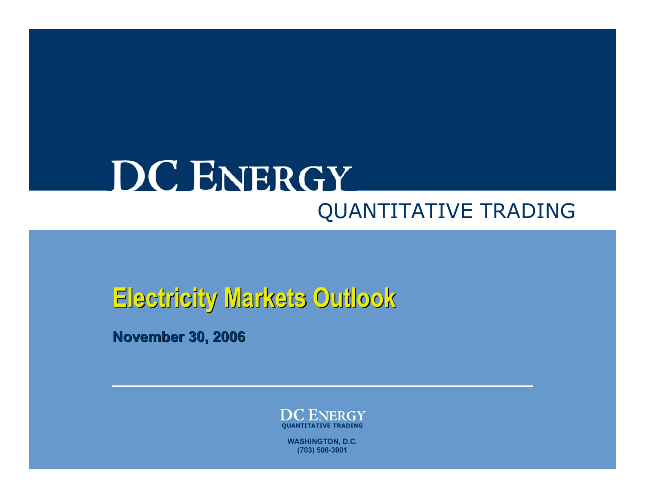# **DC ENERGY** QUANTITATIVE TRADING

## **Electricity Markets Outlook Electricity Markets Outlook**

**November 30, 2006 November 30, 2006**



**WASHINGTON, D.C. (703) 506-3901**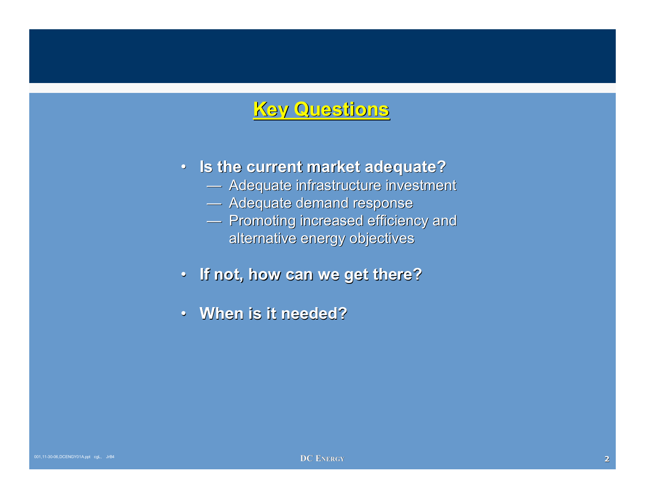### **Key Questions Key Questions**

- **Is the current market adequate? Is the current market adequate?**
	- $\rule{1em}{0.15mm}$  Adequate infrastructure investment
	- $-$  Adequate demand response
	- $-$  Promoting increased efficiency and alternative energy objectives
- **If not, how can we get there? If not, how can we get there?**
- $\bullet$ **When is it needed? When is it needed?**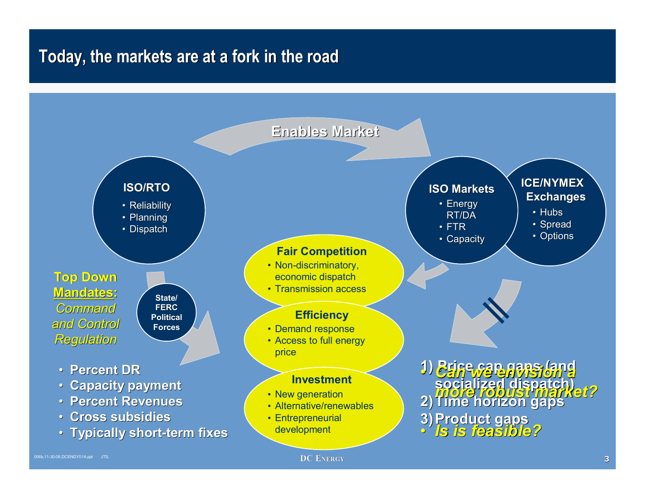### **Today, the markets are at a fork in the road Today, the markets are at a fork in the road**

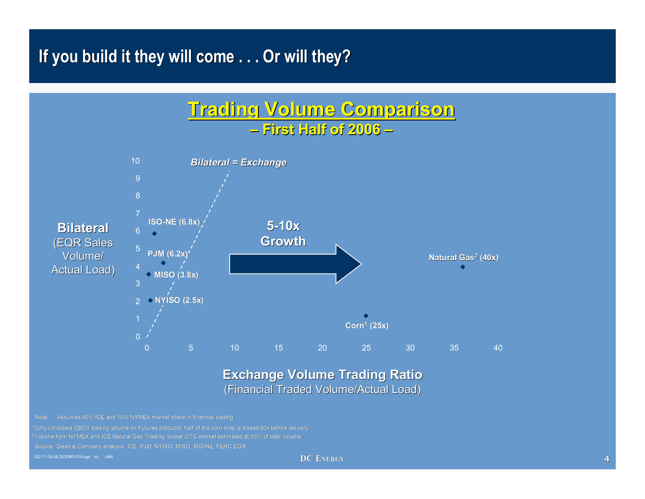### **If you build it they will come . . . Or will they?**





#### **Exchange Volume Trading Ratio** (Financial Traded Volume/Actual Load) (Financial Traded Volume/Actual Load)

Assumes 90% ICE and 10% NYMEX market share in financial trading

Source: Dean & Company analysis, ICE, PJM, NYISO, MISO, ISO-NE, FERC EQR Only considers CBOT trading volume on Futures products; half of the corn crop is traded 50x before delivery Volume from NYMEX and ICE Natural Gas Trading; broker OTC market estimated at 10% of total volume

002,11-30-06,DCENGY01A.ppt ini, JrB4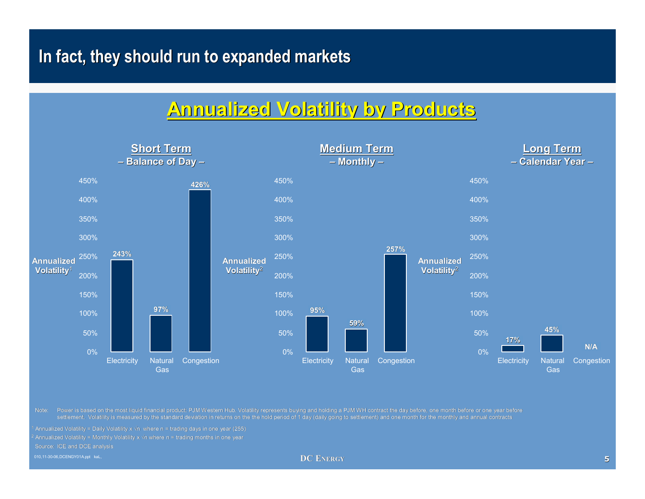### **In fact, they should run to expanded markets In fact, they should run to expanded markets**

### **Annualized Volatility by Products Annualized Volatility by Products**



Note: Power is based on the most liquid financial product: PJM Western Hub. Volatility represents buying and holding a PJM WH contract the day before, one month before or one year before settlement. Volatility is measured by the standard deviation in returns on the the hold period of 1 day (daily going to settlement) and one month for the monthly and annual contracts

Annualized Volatility = Daily Volatility x  $\sqrt{n}$  where n = trading days in one year (255)

Annualized Volatility = Monthly Volatility x  $\sqrt{n}$  where n = trading months in one year

Source: ICE and DCE analysis

010,11-30-06,DCENGY01A.ppt kaL,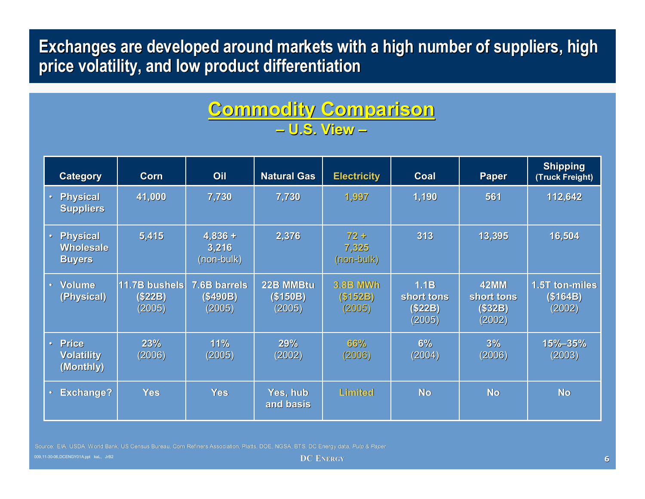Exchanges are developed around markets with a high number of suppliers, high **price volatility, and low product differentiation price volatility, and low product differentiation**

### **Commodity Comparison Commodity Comparison – U.S. View U.S. View –**

|                        | <b>Category</b>                                      | Corn                               | Oil                                | <b>Natural Gas</b>              | <b>Electricity</b>             | Coal                                      | <b>Paper</b>                                   | <b>Shipping</b><br>(Truck Freight)   |
|------------------------|------------------------------------------------------|------------------------------------|------------------------------------|---------------------------------|--------------------------------|-------------------------------------------|------------------------------------------------|--------------------------------------|
| $\bullet$              | <b>Physical</b><br><b>Suppliers</b>                  | 41,000                             | 7,730                              | 7,730                           | 1,997                          | 1,190                                     | 561                                            | 112,642                              |
| $\boldsymbol{\varphi}$ | <b>Physical</b><br><b>Wholesale</b><br><b>Buyers</b> | 5,415                              | $4,836 +$<br>3,216<br>(non-bulk)   | 2,376                           | $72 +$<br>7,325<br>(non-bulk)  | 313                                       | 13,395                                         | 16,504                               |
| $\bullet$              | Volume<br>(Physical)                                 | 11.7B bushels<br>(\$22B)<br>(2005) | 7.6B barrels<br>(\$490B)<br>(2005) | 22B MMBtu<br>(\$150B)<br>(2005) | 3.8B MWh<br>(\$152B)<br>(2005) | 1.1B<br>short tons<br>$(\$22B)$<br>(2005) | <b>42MM</b><br>short tons<br>(\$32B)<br>(2002) | 1.5T ton-miles<br>(\$164B)<br>(2002) |
|                        | • Price<br><b>Volatility</b><br>(Monthly)            | 23%<br>(2006)                      | 11%<br>(2005)                      | 29%<br>(2002)                   | 66%<br>(2006)                  | 6%<br>(2004)                              | 3%<br>(2006)                                   | 15%-35%<br>(2003)                    |
|                        | <b>Exchange?</b>                                     | <b>Yes</b>                         | <b>Yes</b>                         | Yes, hub<br>and basis           | <b>Limited</b>                 | <b>No</b>                                 | <b>No</b>                                      | <b>No</b>                            |

Source: EIA, USDA, World Bank, US Census Bureau, Corn Refiners Association, Platts, DOE, NGSA, BTS, DC Energy data, *Pulp & Paper*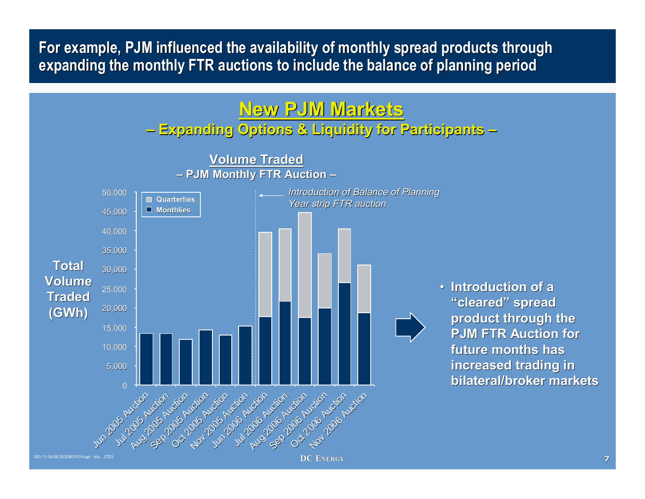For example, PJM influenced the availability of monthly spread products through **expanding the monthly FTR auctions to include the balance of planning period** 



### **– Expanding Options & Liquidity for Participants Expanding Options & Liquidity for Participants –**



• **Introduction of a Introduction of a "cleared" spread "cleared" spread product through the product through the PJM FTR Auction for PJM FTR future months has months has increased trading in increased trading in bilateral/broker markets bilateral/broker markets**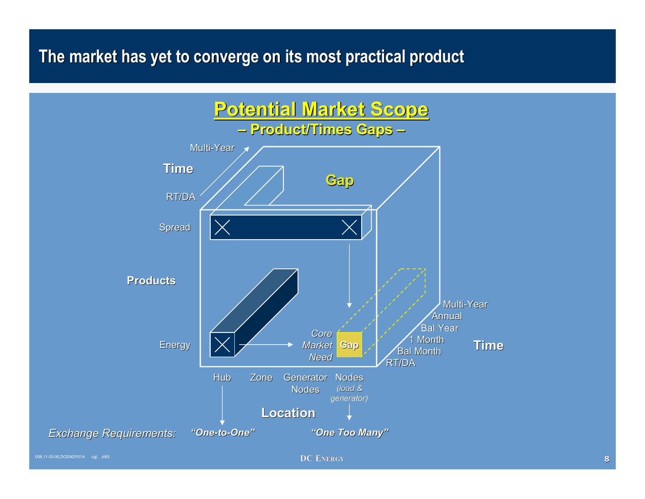### **The market has yet to converge on its most practical product The market has yet to converge on its most practical product**



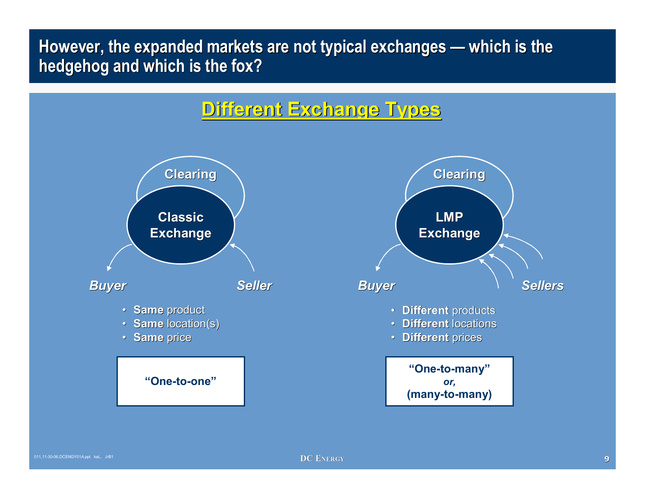### However, the expanded markets are not typical exchanges — which is the **hedgehog and which is the fox? hedgehog and which is the fox?**

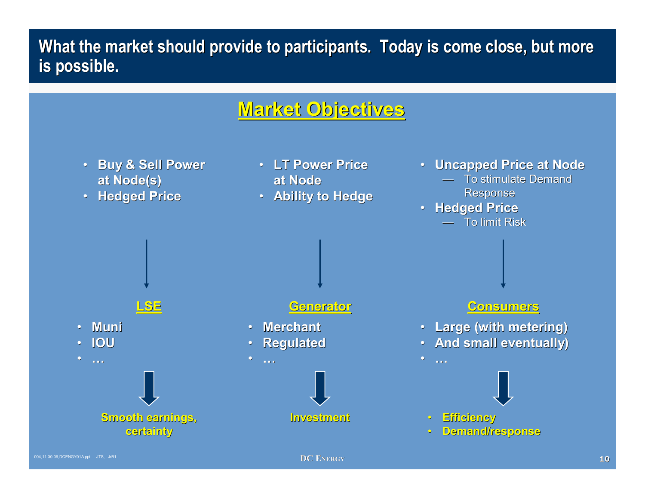### What the market should provide to participants. Today is come close, but more **is possible. is possible.**



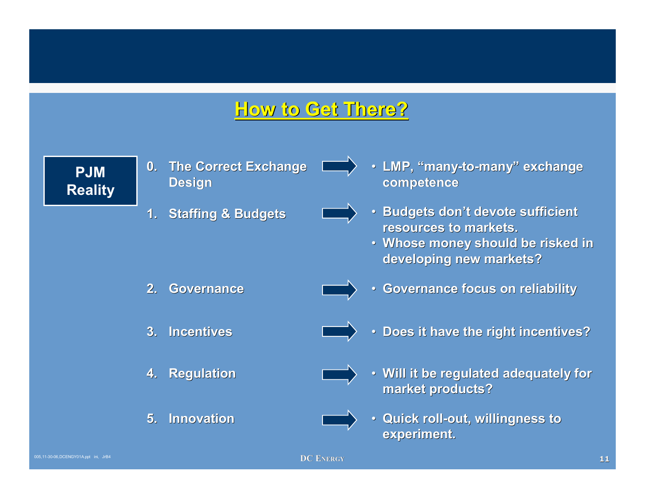### **How to Get There? How to Get There?**

**PJM Reality**

- **0. The Correct Exchange The Correct Exchange Design**
- **1. Staffing & Budgets**

- 
- **LMP, "many-to-many" exchange many" exchange competence**
- **· Budgets don't devote sufficient resources to markets. resources to markets.**
- Whose money should be risked in **developing new markets?**

- **2.Governance**
- **3.Incentives**



• **Does it have the right incentives?**

• **Governance focus on reliability**



 **Regulation** • **Will it be regulated adequately for Will it be regulated adequately for market products?**



 • **Quick roll Quick roll-out, willingness to out, willingness to experiment. experiment.**

**5. Innovation**

**4.**